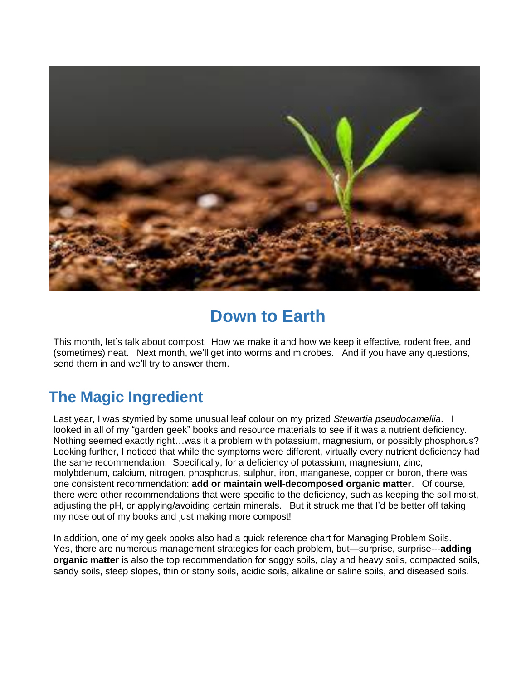

# **Down to Earth**

This month, let's talk about compost. How we make it and how we keep it effective, rodent free, and (sometimes) neat. Next month, we'll get into worms and microbes. And if you have any questions, send them in and we'll try to answer them.

# **The Magic Ingredient**

Last year, I was stymied by some unusual leaf colour on my prized *Stewartia pseudocamellia*. I looked in all of my "garden geek" books and resource materials to see if it was a nutrient deficiency. Nothing seemed exactly right…was it a problem with potassium, magnesium, or possibly phosphorus? Looking further, I noticed that while the symptoms were different, virtually every nutrient deficiency had the same recommendation. Specifically, for a deficiency of potassium, magnesium, zinc, molybdenum, calcium, nitrogen, phosphorus, sulphur, iron, manganese, copper or boron, there was one consistent recommendation: **add or maintain well-decomposed organic matter**. Of course, there were other recommendations that were specific to the deficiency, such as keeping the soil moist, adjusting the pH, or applying/avoiding certain minerals. But it struck me that I'd be better off taking my nose out of my books and just making more compost!

In addition, one of my geek books also had a quick reference chart for Managing Problem Soils. Yes, there are numerous management strategies for each problem, but—surprise, surprise---**adding organic matter** is also the top recommendation for soggy soils, clay and heavy soils, compacted soils, sandy soils, steep slopes, thin or stony soils, acidic soils, alkaline or saline soils, and diseased soils.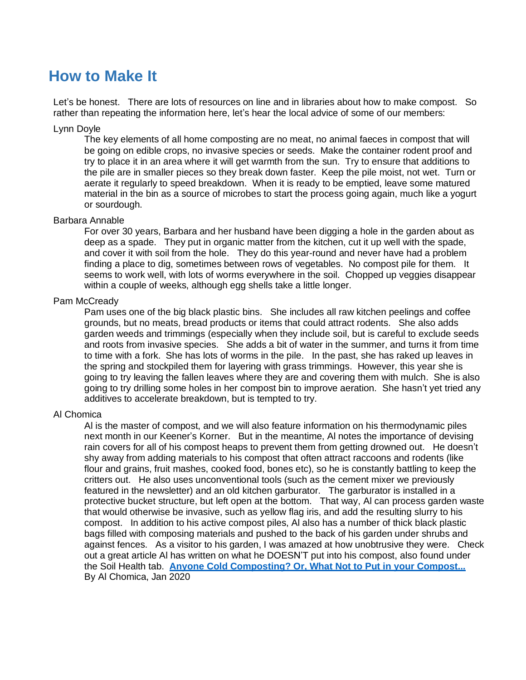### **How to Make It**

Let's be honest. There are lots of resources on line and in libraries about how to make compost. So rather than repeating the information here, let's hear the local advice of some of our members:

#### Lynn Doyle

The key elements of all home composting are no meat, no animal faeces in compost that will be going on edible crops, no invasive species or seeds. Make the container rodent proof and try to place it in an area where it will get warmth from the sun. Try to ensure that additions to the pile are in smaller pieces so they break down faster. Keep the pile moist, not wet. Turn or aerate it regularly to speed breakdown. When it is ready to be emptied, leave some matured material in the bin as a source of microbes to start the process going again, much like a yogurt or sourdough.

#### Barbara Annable

For over 30 years, Barbara and her husband have been digging a hole in the garden about as deep as a spade. They put in organic matter from the kitchen, cut it up well with the spade, and cover it with soil from the hole. They do this year-round and never have had a problem finding a place to dig, sometimes between rows of vegetables. No compost pile for them. It seems to work well, with lots of worms everywhere in the soil. Chopped up veggies disappear within a couple of weeks, although egg shells take a little longer.

#### Pam McCready

Pam uses one of the big black plastic bins. She includes all raw kitchen peelings and coffee grounds, but no meats, bread products or items that could attract rodents. She also adds garden weeds and trimmings (especially when they include soil, but is careful to exclude seeds and roots from invasive species. She adds a bit of water in the summer, and turns it from time to time with a fork. She has lots of worms in the pile. In the past, she has raked up leaves in the spring and stockpiled them for layering with grass trimmings. However, this year she is going to try leaving the fallen leaves where they are and covering them with mulch. She is also going to try drilling some holes in her compost bin to improve aeration. She hasn't yet tried any additives to accelerate breakdown, but is tempted to try.

#### Al Chomica

Al is the master of compost, and we will also feature information on his thermodynamic piles next month in our Keener's Korner. But in the meantime, Al notes the importance of devising rain covers for all of his compost heaps to prevent them from getting drowned out. He doesn't shy away from adding materials to his compost that often attract raccoons and rodents (like flour and grains, fruit mashes, cooked food, bones etc), so he is constantly battling to keep the critters out. He also uses unconventional tools (such as the cement mixer we previously featured in the newsletter) and an old kitchen garburator. The garburator is installed in a protective bucket structure, but left open at the bottom. That way, Al can process garden waste that would otherwise be invasive, such as yellow flag iris, and add the resulting slurry to his compost. In addition to his active compost piles, Al also has a number of thick black plastic bags filled with composing materials and pushed to the back of his garden under shrubs and against fences. As a visitor to his garden, I was amazed at how unobtrusive they were. Check out a great article Al has written on what he DOESN'T put into his compost, also found under the Soil Health tab. **Anyone Cold Composting? Or, What Not to Put in your Compost...** By Al Chomica, Jan 2020